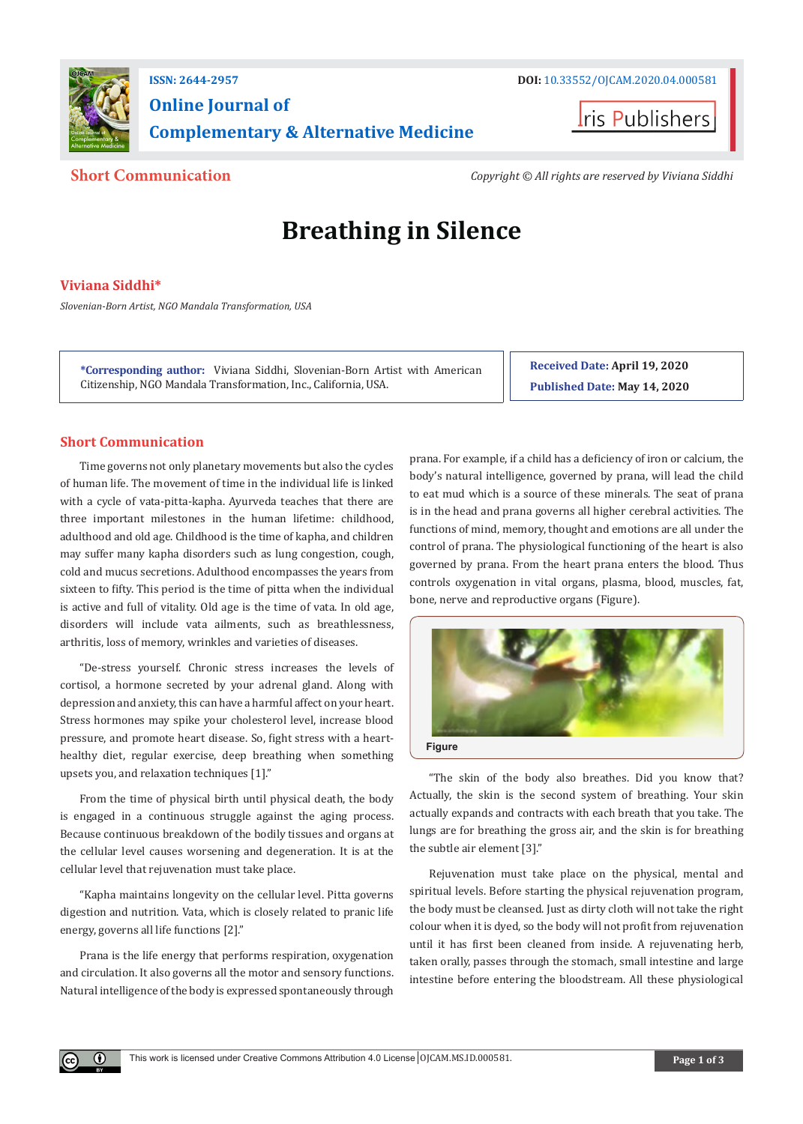

# **Online Journal of Complementary & Alternative Medicine**



**Short Communication** *Copyright © All rights are reserved by Viviana Siddhi*

# **Breathing in Silence**

# **Viviana Siddhi\***

*Slovenian-Born Artist, NGO Mandala Transformation, USA*

**\*Corresponding author:** Viviana Siddhi, Slovenian-Born Artist with American Citizenship, NGO Mandala Transformation, Inc., California, USA.

**Received Date: April 19, 2020 Published Date: May 14, 2020**

## **Short Communication**

Time governs not only planetary movements but also the cycles of human life. The movement of time in the individual life is linked with a cycle of vata-pitta-kapha. Ayurveda teaches that there are three important milestones in the human lifetime: childhood, adulthood and old age. Childhood is the time of kapha, and children may suffer many kapha disorders such as lung congestion, cough, cold and mucus secretions. Adulthood encompasses the years from sixteen to fifty. This period is the time of pitta when the individual is active and full of vitality. Old age is the time of vata. In old age, disorders will include vata ailments, such as breathlessness, arthritis, loss of memory, wrinkles and varieties of diseases.

"De-stress yourself. Chronic stress increases the levels of cortisol, a hormone secreted by your adrenal gland. Along with depression and anxiety, this can have a harmful affect on your heart. Stress hormones may spike your cholesterol level, increase blood pressure, and promote heart disease. So, fight stress with a hearthealthy diet, regular exercise, deep breathing when something upsets you, and relaxation techniques [1]."

From the time of physical birth until physical death, the body is engaged in a continuous struggle against the aging process. Because continuous breakdown of the bodily tissues and organs at the cellular level causes worsening and degeneration. It is at the cellular level that rejuvenation must take place.

"Kapha maintains longevity on the cellular level. Pitta governs digestion and nutrition. Vata, which is closely related to pranic life energy, governs all life functions [2]."

Prana is the life energy that performs respiration, oxygenation and circulation. It also governs all the motor and sensory functions. Natural intelligence of the body is expressed spontaneously through

 $\left( \mathbf{r} \right)$ 

prana. For example, if a child has a deficiency of iron or calcium, the body's natural intelligence, governed by prana, will lead the child to eat mud which is a source of these minerals. The seat of prana is in the head and prana governs all higher cerebral activities. The functions of mind, memory, thought and emotions are all under the control of prana. The physiological functioning of the heart is also governed by prana. From the heart prana enters the blood. Thus controls oxygenation in vital organs, plasma, blood, muscles, fat, bone, nerve and reproductive organs (Figure).



"The skin of the body also breathes. Did you know that? Actually, the skin is the second system of breathing. Your skin actually expands and contracts with each breath that you take. The lungs are for breathing the gross air, and the skin is for breathing the subtle air element [3]."

Rejuvenation must take place on the physical, mental and spiritual levels. Before starting the physical rejuvenation program, the body must be cleansed. Just as dirty cloth will not take the right colour when it is dyed, so the body will not profit from rejuvenation until it has first been cleaned from inside. A rejuvenating herb, taken orally, passes through the stomach, small intestine and large intestine before entering the bloodstream. All these physiological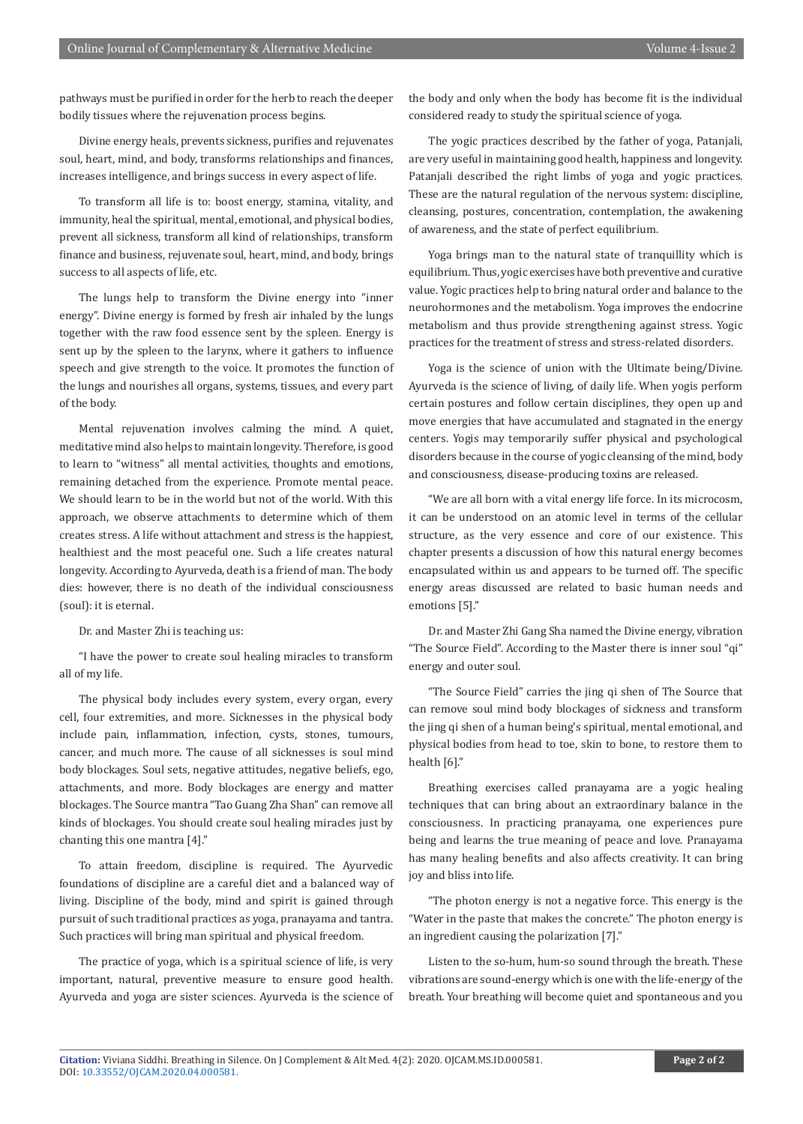pathways must be purified in order for the herb to reach the deeper bodily tissues where the rejuvenation process begins.

Divine energy heals, prevents sickness, purifies and rejuvenates soul, heart, mind, and body, transforms relationships and finances, increases intelligence, and brings success in every aspect of life.

To transform all life is to: boost energy, stamina, vitality, and immunity, heal the spiritual, mental, emotional, and physical bodies, prevent all sickness, transform all kind of relationships, transform finance and business, rejuvenate soul, heart, mind, and body, brings success to all aspects of life, etc.

The lungs help to transform the Divine energy into "inner energy". Divine energy is formed by fresh air inhaled by the lungs together with the raw food essence sent by the spleen. Energy is sent up by the spleen to the larynx, where it gathers to influence speech and give strength to the voice. It promotes the function of the lungs and nourishes all organs, systems, tissues, and every part of the body.

Mental rejuvenation involves calming the mind. A quiet, meditative mind also helps to maintain longevity. Therefore, is good to learn to "witness" all mental activities, thoughts and emotions, remaining detached from the experience. Promote mental peace. We should learn to be in the world but not of the world. With this approach, we observe attachments to determine which of them creates stress. A life without attachment and stress is the happiest, healthiest and the most peaceful one. Such a life creates natural longevity. According to Ayurveda, death is a friend of man. The body dies: however, there is no death of the individual consciousness (soul): it is eternal.

Dr. and Master Zhi is teaching us:

"I have the power to create soul healing miracles to transform all of my life.

The physical body includes every system, every organ, every cell, four extremities, and more. Sicknesses in the physical body include pain, inflammation, infection, cysts, stones, tumours, cancer, and much more. The cause of all sicknesses is soul mind body blockages. Soul sets, negative attitudes, negative beliefs, ego, attachments, and more. Body blockages are energy and matter blockages. The Source mantra "Tao Guang Zha Shan" can remove all kinds of blockages. You should create soul healing miracles just by chanting this one mantra [4]."

To attain freedom, discipline is required. The Ayurvedic foundations of discipline are a careful diet and a balanced way of living. Discipline of the body, mind and spirit is gained through pursuit of such traditional practices as yoga, pranayama and tantra. Such practices will bring man spiritual and physical freedom.

The practice of yoga, which is a spiritual science of life, is very important, natural, preventive measure to ensure good health. Ayurveda and yoga are sister sciences. Ayurveda is the science of the body and only when the body has become fit is the individual considered ready to study the spiritual science of yoga.

The yogic practices described by the father of yoga, Patanjali, are very useful in maintaining good health, happiness and longevity. Pataniali described the right limbs of yoga and yogic practices. These are the natural regulation of the nervous system: discipline, cleansing, postures, concentration, contemplation, the awakening of awareness, and the state of perfect equilibrium.

Yoga brings man to the natural state of tranquillity which is equilibrium. Thus, yogic exercises have both preventive and curative value. Yogic practices help to bring natural order and balance to the neurohormones and the metabolism. Yoga improves the endocrine metabolism and thus provide strengthening against stress. Yogic practices for the treatment of stress and stress-related disorders.

Yoga is the science of union with the Ultimate being/Divine. Ayurveda is the science of living, of daily life. When yogis perform certain postures and follow certain disciplines, they open up and move energies that have accumulated and stagnated in the energy centers. Yogis may temporarily suffer physical and psychological disorders because in the course of yogic cleansing of the mind, body and consciousness, disease-producing toxins are released.

"We are all born with a vital energy life force. In its microcosm, it can be understood on an atomic level in terms of the cellular structure, as the very essence and core of our existence. This chapter presents a discussion of how this natural energy becomes encapsulated within us and appears to be turned off. The specific energy areas discussed are related to basic human needs and emotions [5]."

Dr. and Master Zhi Gang Sha named the Divine energy, vibration "The Source Field". According to the Master there is inner soul "qi" energy and outer soul.

"The Source Field" carries the jing qi shen of The Source that can remove soul mind body blockages of sickness and transform the jing qi shen of a human being's spiritual, mental emotional, and physical bodies from head to toe, skin to bone, to restore them to health [6]."

Breathing exercises called pranayama are a yogic healing techniques that can bring about an extraordinary balance in the consciousness. In practicing pranayama, one experiences pure being and learns the true meaning of peace and love. Pranayama has many healing benefits and also affects creativity. It can bring joy and bliss into life.

"The photon energy is not a negative force. This energy is the "Water in the paste that makes the concrete." The photon energy is an ingredient causing the polarization [7]."

Listen to the so-hum, hum-so sound through the breath. These vibrations are sound-energy which is one with the life-energy of the breath. Your breathing will become quiet and spontaneous and you